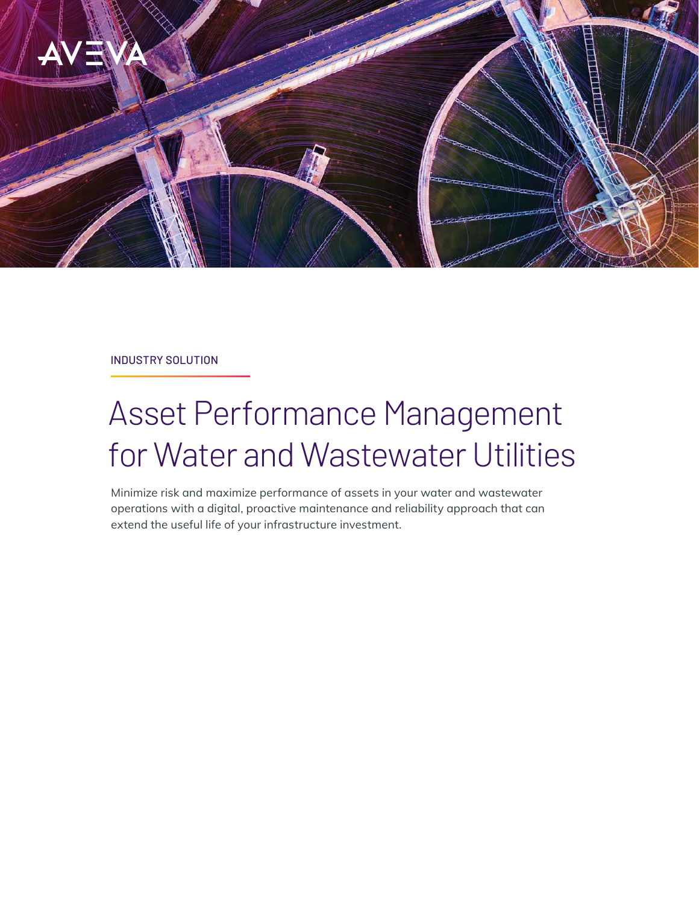

INDUSTRY SOLUTION

# Asset Performance Management for Water and Wastewater Utilities

Minimize risk and maximize performance of assets in your water and wastewater operations with a digital, proactive maintenance and reliability approach that can extend the useful life of your infrastructure investment.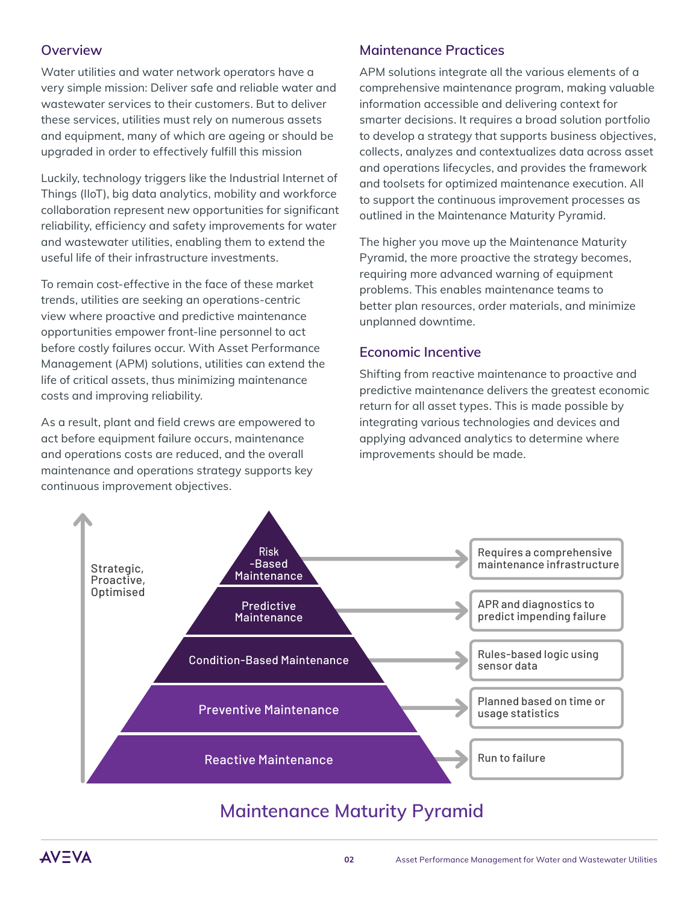### **Overview**

Water utilities and water network operators have a very simple mission: Deliver safe and reliable water and wastewater services to their customers. But to deliver these services, utilities must rely on numerous assets and equipment, many of which are ageing or should be upgraded in order to effectively fulfill this mission

Luckily, technology triggers like the Industrial Internet of Things (IIoT), big data analytics, mobility and workforce collaboration represent new opportunities for significant reliability, efficiency and safety improvements for water and wastewater utilities, enabling them to extend the useful life of their infrastructure investments.

To remain cost-effective in the face of these market trends, utilities are seeking an operations-centric view where proactive and predictive maintenance opportunities empower front-line personnel to act before costly failures occur. With Asset Performance Management (APM) solutions, utilities can extend the life of critical assets, thus minimizing maintenance costs and improving reliability.

As a result, plant and field crews are empowered to act before equipment failure occurs, maintenance and operations costs are reduced, and the overall maintenance and operations strategy supports key continuous improvement objectives.

## **Maintenance Practices**

APM solutions integrate all the various elements of a comprehensive maintenance program, making valuable information accessible and delivering context for smarter decisions. It requires a broad solution portfolio to develop a strategy that supports business objectives, collects, analyzes and contextualizes data across asset and operations lifecycles, and provides the framework and toolsets for optimized maintenance execution. All to support the continuous improvement processes as outlined in the Maintenance Maturity Pyramid.

The higher you move up the Maintenance Maturity Pyramid, the more proactive the strategy becomes, requiring more advanced warning of equipment problems. This enables maintenance teams to better plan resources, order materials, and minimize unplanned downtime.

#### **Economic Incentive**

Shifting from reactive maintenance to proactive and predictive maintenance delivers the greatest economic return for all asset types. This is made possible by integrating various technologies and devices and applying advanced analytics to determine where improvements should be made.



# **Maintenance Maturity Pyramid**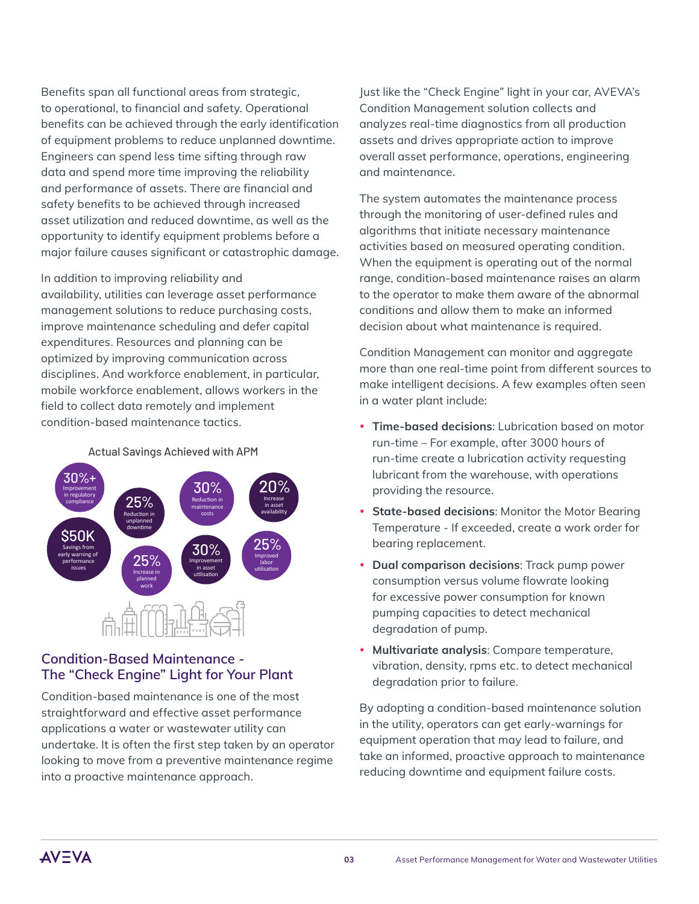Benefits span all functional areas from strategic, to operational, to financial and safety. Operational benefits can be achieved through the early identification of equipment problems to reduce unplanned downtime. Engineers can spend less time sifting through raw data and spend more time improving the reliability and performance of assets. There are financial and safety benefits to be achieved through increased asset utilization and reduced downtime, as well as the opportunity to identify equipment problems before a major failure causes significant or catastrophic damage.

In addition to improving reliability and availability, utilities can leverage asset performance management solutions to reduce purchasing costs, improve maintenance scheduling and defer capital expenditures. Resources and planning can be optimized by improving communication across disciplines. And workforce enablement, in particular, mobile workforce enablement, allows workers in the field to collect data remotely and implement condition-based maintenance tactics.

Actual Savings Achieved with APM



#### **Condition-Based Maintenance - The "Check Engine" Light for Your Plant**

Condition-based maintenance is one of the most straightforward and effective asset performance applications a water or wastewater utility can undertake. It is often the first step taken by an operator looking to move from a preventive maintenance regime into a proactive maintenance approach.

Just like the "Check Engine" light in your car, AVEVA's Condition Management solution collects and analyzes real-time diagnostics from all production assets and drives appropriate action to improve overall asset performance, operations, engineering and maintenance.

The system automates the maintenance process through the monitoring of user-defined rules and algorithms that initiate necessary maintenance activities based on measured operating condition. When the equipment is operating out of the normal range, condition-based maintenance raises an alarm to the operator to make them aware of the abnormal conditions and allow them to make an informed decision about what maintenance is required.

Condition Management can monitor and aggregate more than one real-time point from different sources to make intelligent decisions. A few examples often seen in a water plant include:

- **Time-based decisions:** Lubrication based on motor run-time – For example, after 3000 hours of run-time create a lubrication activity requesting lubricant from the warehouse, with operations providing the resource.
- **State-based decisions: Monitor the Motor Bearing** Temperature - If exceeded, create a work order for bearing replacement.
- **Dual comparison decisions**: Track pump power consumption versus volume flowrate looking for excessive power consumption for known pumping capacities to detect mechanical degradation of pump.
- y **Multivariate analysis**: Compare temperature, vibration, density, rpms etc. to detect mechanical degradation prior to failure.

By adopting a condition-based maintenance solution in the utility, operators can get early-warnings for equipment operation that may lead to failure, and take an informed, proactive approach to maintenance reducing downtime and equipment failure costs.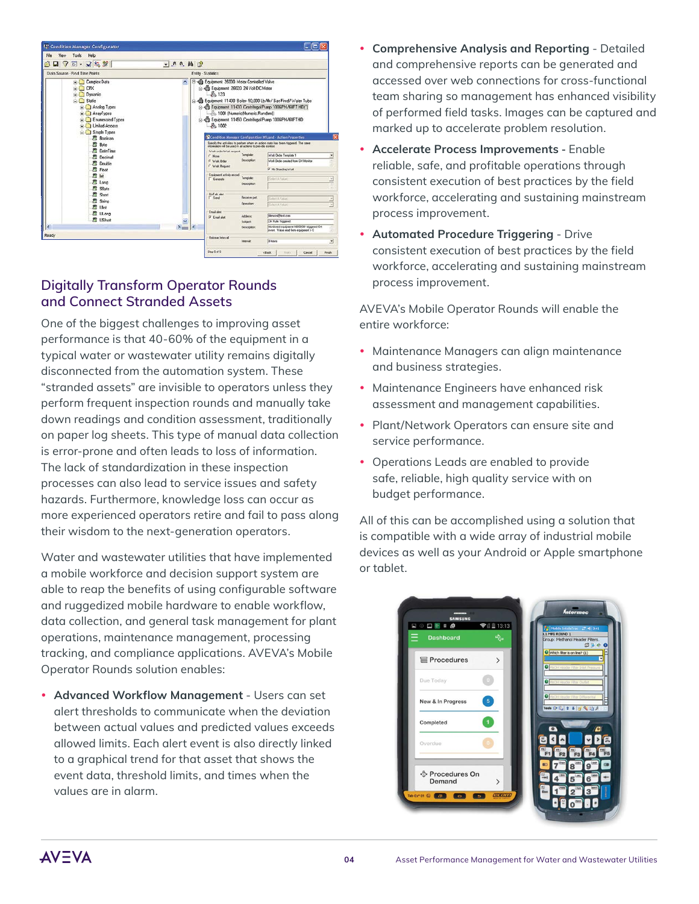| File<br><b>Vierr</b><br>Tools Help                                                                                                                                                                               |                          |                                                                                                                                                                                                                                                                                                                                                                                                                                                                                                                                                                                                                                                                         |                                        |                                                                                |   |
|------------------------------------------------------------------------------------------------------------------------------------------------------------------------------------------------------------------|--------------------------|-------------------------------------------------------------------------------------------------------------------------------------------------------------------------------------------------------------------------------------------------------------------------------------------------------------------------------------------------------------------------------------------------------------------------------------------------------------------------------------------------------------------------------------------------------------------------------------------------------------------------------------------------------------------------|----------------------------------------|--------------------------------------------------------------------------------|---|
| 0.488<br>鸤<br>$\triangledown$<br>ы                                                                                                                                                                               | $-1.99.412$              |                                                                                                                                                                                                                                                                                                                                                                                                                                                                                                                                                                                                                                                                         |                                        |                                                                                |   |
| Data Source - Real Time Points                                                                                                                                                                                   |                          | Ently - Stabilies                                                                                                                                                                                                                                                                                                                                                                                                                                                                                                                                                                                                                                                       |                                        |                                                                                |   |
| Complex Data<br>CPX<br>(e)<br>Dynamic<br>C Statio<br>Analog Types<br>AnayTypes<br>Enumerated Types<br>Umhed Access<br>Simple Types<br><b>22</b> Boolean<br>E Byke<br><b>72 DateTime</b><br><sup>72</sup> Decimal | $\overline{\phantom{a}}$ | Fi <b 26000="" controlled="" equipment="" motor="" valve<br="">24 Vol: DC Motor Superior 26020 24 Vol: DC Motor<br/>₿ 123<br/>A 45 Equipment 11400 Boiler-50,000 Lb/Hr/ Gas Fired/ Water Tube<br/>E-41 Equipment 11430 Centrifugal Pump 100GPM/60FT HD(1)<br/>1001 [Numeric]Numeric.Random]]<br/>E 42 Equipment 11450 Centrifugal Pump 100GPM/60FTHD<br/>愚 1002<br/>Condition Menager Configuration Wizard - Action Properties<br/>Specify the activities to perform when an action state has been hispered. The same<br/>information will be used in all actions to previde control.<br/>Wall order/Walk request<br/>Template<br/>Wisk Order Terminal 1<br/>C None</b> |                                        |                                                                                |   |
| <b>22</b> Double<br><sup>2</sup> Float<br>m<br>Int<br>2 Long<br>2 SByte                                                                                                                                          |                          | <sup>G.</sup> Wak Brder<br>C. Walt Request<br><b>Equipment activity record</b><br><b>Conside</b>                                                                                                                                                                                                                                                                                                                                                                                                                                                                                                                                                                        | Description<br>Template<br>Description | Well: Dedar created from CM Monitor<br>P. No Standing Walk<br>IS-SHEA VAGH!    | 믜 |
| Short<br>String                                                                                                                                                                                                  |                          | <b>RioTalk and</b><br>F Sand                                                                                                                                                                                                                                                                                                                                                                                                                                                                                                                                                                                                                                            | Receive pat<br>Dewater:                | <b>Select &amp; VALUE</b><br><b>Gelaus &amp; Vallat</b>                        |   |
| <b>Ullet</b><br>置 ULong                                                                                                                                                                                          |                          | Enal also                                                                                                                                                                                                                                                                                                                                                                                                                                                                                                                                                                                                                                                               |                                        |                                                                                |   |
| <b>22 UShort</b>                                                                                                                                                                                                 | v                        | <b>D</b> Enabled                                                                                                                                                                                                                                                                                                                                                                                                                                                                                                                                                                                                                                                        | Address<br>Subject:                    | tilmeon@lest.com<br><b>CM Rufe Trippened</b>                                   |   |
| ×                                                                                                                                                                                                                | $>$ mm $\leq$            |                                                                                                                                                                                                                                                                                                                                                                                                                                                                                                                                                                                                                                                                         | Description                            | Moniced equipment 1000000 higgered DA<br>event. Value sead from equipment > 0. |   |
| Ready                                                                                                                                                                                                            |                          | <b>Reissue Interval</b>                                                                                                                                                                                                                                                                                                                                                                                                                                                                                                                                                                                                                                                 |                                        |                                                                                |   |

## **Digitally Transform Operator Rounds and Connect Stranded Assets**

One of the biggest challenges to improving asset performance is that 40-60% of the equipment in a typical water or wastewater utility remains digitally disconnected from the automation system. These "stranded assets" are invisible to operators unless they perform frequent inspection rounds and manually take down readings and condition assessment, traditionally on paper log sheets. This type of manual data collection is error-prone and often leads to loss of information. The lack of standardization in these inspection processes can also lead to service issues and safety hazards. Furthermore, knowledge loss can occur as more experienced operators retire and fail to pass along their wisdom to the next-generation operators.

Water and wastewater utilities that have implemented a mobile workforce and decision support system are able to reap the benefits of using configurable software and ruggedized mobile hardware to enable workflow, data collection, and general task management for plant operations, maintenance management, processing tracking, and compliance applications. AVEVA's Mobile Operator Rounds solution enables:

**• Advanced Workflow Management** - Users can set alert thresholds to communicate when the deviation between actual values and predicted values exceeds allowed limits. Each alert event is also directly linked to a graphical trend for that asset that shows the event data, threshold limits, and times when the values are in alarm.

- **Comprehensive Analysis and Reporting** Detailed and comprehensive reports can be generated and accessed over web connections for cross-functional team sharing so management has enhanced visibility of performed field tasks. Images can be captured and marked up to accelerate problem resolution.
- **Accelerate Process Improvements Enable** reliable, safe, and profitable operations through consistent execution of best practices by the field workforce, accelerating and sustaining mainstream process improvement.
- **Automated Procedure Triggering Drive** consistent execution of best practices by the field workforce, accelerating and sustaining mainstream process improvement.

AVEVA's Mobile Operator Rounds will enable the entire workforce:

- Maintenance Managers can align maintenance and business strategies.
- Maintenance Engineers have enhanced risk assessment and management capabilities.
- Plant/Network Operators can ensure site and service performance.
- Operations Leads are enabled to provide safe, reliable, high quality service with on budget performance.

All of this can be accomplished using a solution that is compatible with a wide array of industrial mobile devices as well as your Android or Apple smartphone or tablet.

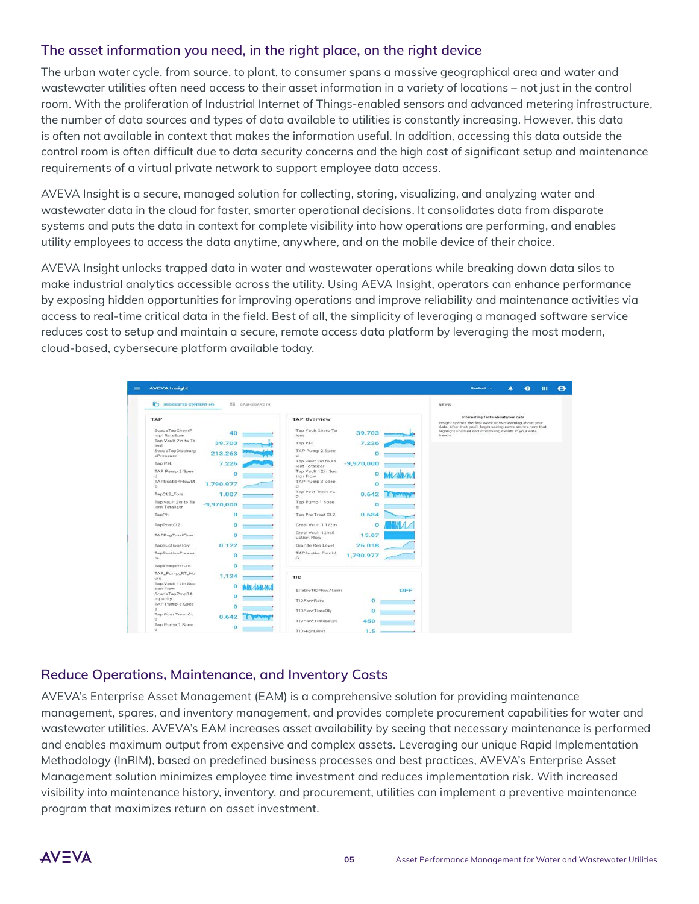### **The asset information you need, in the right place, on the right device**

The urban water cycle, from source, to plant, to consumer spans a massive geographical area and water and wastewater utilities often need access to their asset information in a variety of locations – not just in the control room. With the proliferation of Industrial Internet of Things-enabled sensors and advanced metering infrastructure, the number of data sources and types of data available to utilities is constantly increasing. However, this data is often not available in context that makes the information useful. In addition, accessing this data outside the control room is often difficult due to data security concerns and the high cost of significant setup and maintenance requirements of a virtual private network to support employee data access.

AVEVA Insight is a secure, managed solution for collecting, storing, visualizing, and analyzing water and wastewater data in the cloud for faster, smarter operational decisions. It consolidates data from disparate systems and puts the data in context for complete visibility into how operations are performing, and enables utility employees to access the data anytime, anywhere, and on the mobile device of their choice.

AVEVA Insight unlocks trapped data in water and wastewater operations while breaking down data silos to make industrial analytics accessible across the utility. Using AEVA Insight, operators can enhance performance by exposing hidden opportunities for improving operations and improve reliability and maintenance activities via access to real-time critical data in the field. Best of all, the simplicity of leveraging a managed software service reduces cost to setup and maintain a secure, remote access data platform by leveraging the most modern, cloud-based, cybersecure platform available today.



#### **Reduce Operations, Maintenance, and Inventory Costs**

AVEVA's Enterprise Asset Management (EAM) is a comprehensive solution for providing maintenance management, spares, and inventory management, and provides complete procurement capabilities for water and wastewater utilities. AVEVA's EAM increases asset availability by seeing that necessary maintenance is performed and enables maximum output from expensive and complex assets. Leveraging our unique Rapid Implementation Methodology (InRIM), based on predefined business processes and best practices, AVEVA's Enterprise Asset Management solution minimizes employee time investment and reduces implementation risk. With increased visibility into maintenance history, inventory, and procurement, utilities can implement a preventive maintenance program that maximizes return on asset investment.

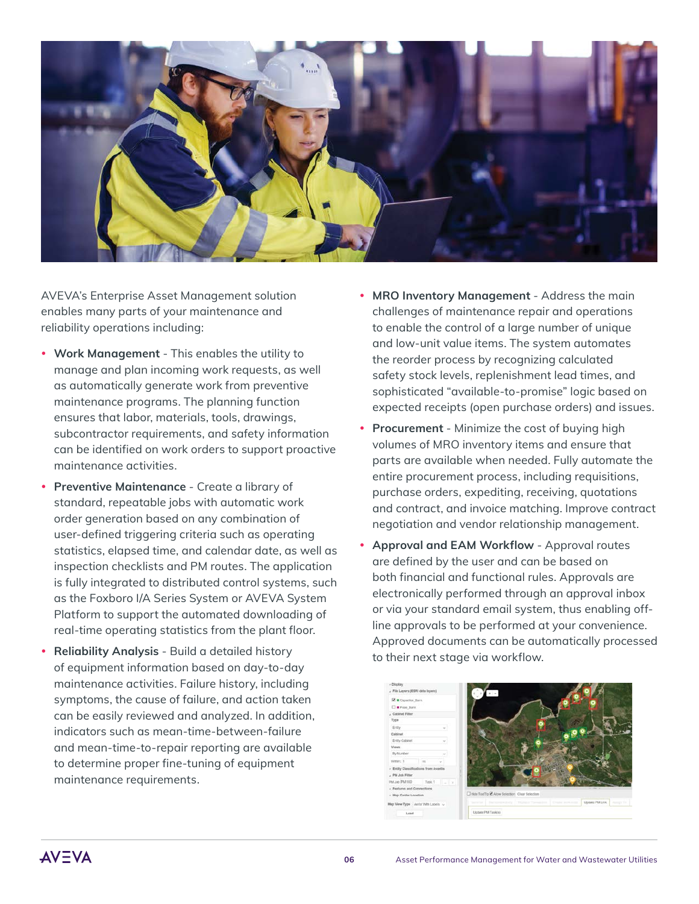

AVEVA's Enterprise Asset Management solution enables many parts of your maintenance and reliability operations including:

- **Work Management** This enables the utility to manage and plan incoming work requests, as well as automatically generate work from preventive maintenance programs. The planning function ensures that labor, materials, tools, drawings, subcontractor requirements, and safety information can be identified on work orders to support proactive maintenance activities.
- **Preventive Maintenance** Create a library of standard, repeatable jobs with automatic work order generation based on any combination of user-defined triggering criteria such as operating statistics, elapsed time, and calendar date, as well as inspection checklists and PM routes. The application is fully integrated to distributed control systems, such as the Foxboro I/A Series System or AVEVA System Platform to support the automated downloading of real-time operating statistics from the plant floor.
- **Reliability Analysis** Build a detailed history of equipment information based on day-to-day maintenance activities. Failure history, including symptoms, the cause of failure, and action taken can be easily reviewed and analyzed. In addition, indicators such as mean-time-between-failure and mean-time-to-repair reporting are available to determine proper fine-tuning of equipment maintenance requirements.
- **MRO Inventory Management** Address the main challenges of maintenance repair and operations to enable the control of a large number of unique and low-unit value items. The system automates the reorder process by recognizing calculated safety stock levels, replenishment lead times, and sophisticated "available-to-promise" logic based on expected receipts (open purchase orders) and issues.
- **Procurement** Minimize the cost of buying high volumes of MRO inventory items and ensure that parts are available when needed. Fully automate the entire procurement process, including requisitions, purchase orders, expediting, receiving, quotations and contract, and invoice matching. Improve contract negotiation and vendor relationship management.
- Approval and EAM Workflow Approval routes are defined by the user and can be based on both financial and functional rules. Approvals are electronically performed through an approval inbox or via your standard email system, thus enabling offline approvals to be performed at your convenience. Approved documents can be automatically processed to their next stage via workflow.

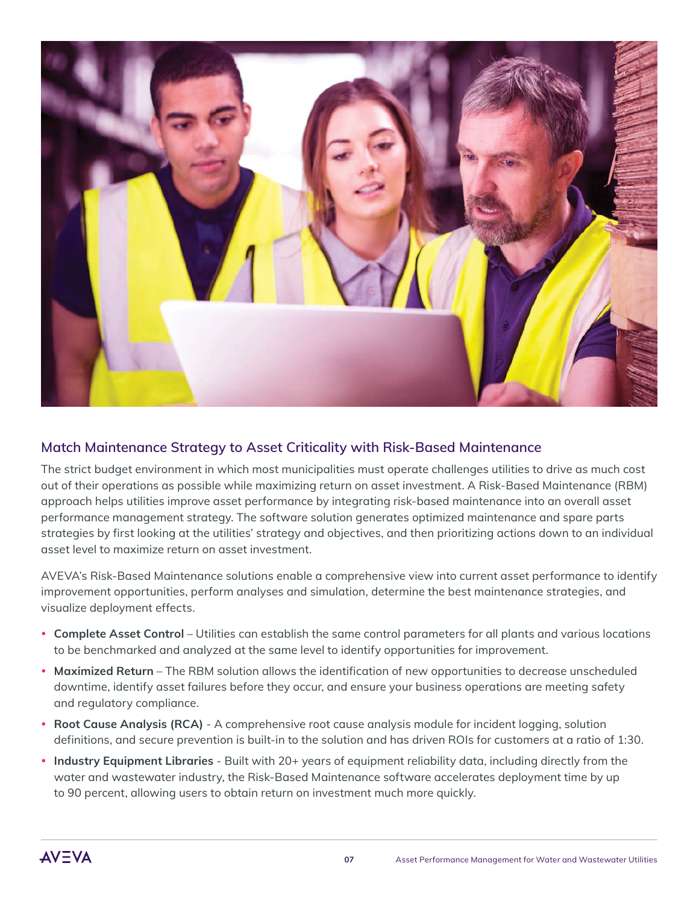

### **Match Maintenance Strategy to Asset Criticality with Risk-Based Maintenance**

The strict budget environment in which most municipalities must operate challenges utilities to drive as much cost out of their operations as possible while maximizing return on asset investment. A Risk-Based Maintenance (RBM) approach helps utilities improve asset performance by integrating risk-based maintenance into an overall asset performance management strategy. The software solution generates optimized maintenance and spare parts strategies by first looking at the utilities' strategy and objectives, and then prioritizing actions down to an individual asset level to maximize return on asset investment.

AVEVA's Risk-Based Maintenance solutions enable a comprehensive view into current asset performance to identify improvement opportunities, perform analyses and simulation, determine the best maintenance strategies, and visualize deployment effects.

- y **Complete Asset Control** Utilities can establish the same control parameters for all plants and various locations to be benchmarked and analyzed at the same level to identify opportunities for improvement.
- Maximized Return The RBM solution allows the identification of new opportunities to decrease unscheduled downtime, identify asset failures before they occur, and ensure your business operations are meeting safety and regulatory compliance.
- Root Cause Analysis (RCA) A comprehensive root cause analysis module for incident logging, solution definitions, and secure prevention is built-in to the solution and has driven ROIs for customers at a ratio of 1:30.
- **Industry Equipment Libraries** Built with 20+ years of equipment reliability data, including directly from the water and wastewater industry, the Risk-Based Maintenance software accelerates deployment time by up to 90 percent, allowing users to obtain return on investment much more quickly.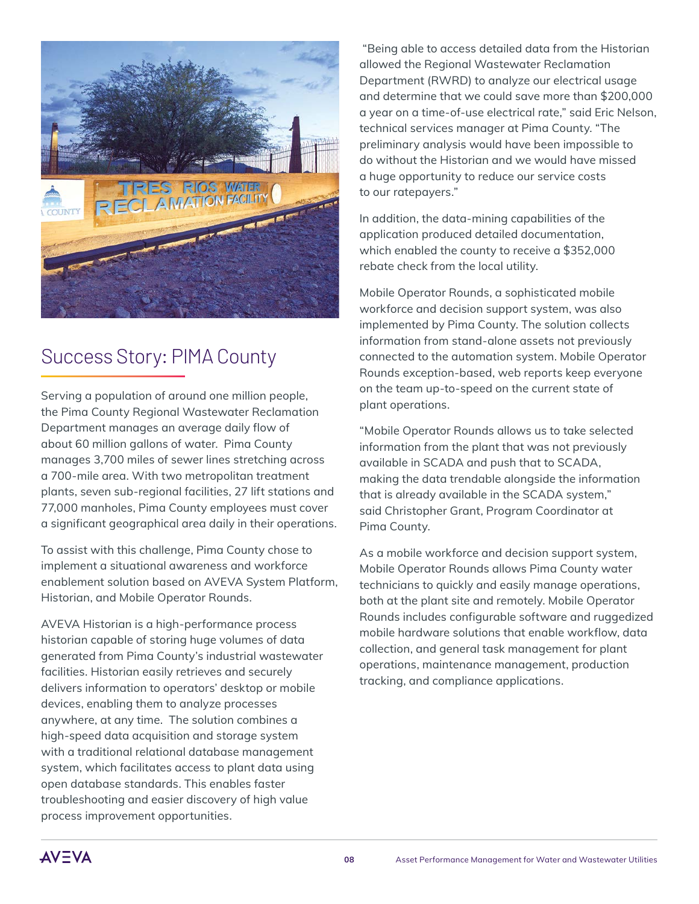

# Success Story: PIMA County

Serving a population of around one million people, the Pima County Regional Wastewater Reclamation Department manages an average daily flow of about 60 million gallons of water. Pima County manages 3,700 miles of sewer lines stretching across a 700-mile area. With two metropolitan treatment plants, seven sub-regional facilities, 27 lift stations and 77,000 manholes, Pima County employees must cover a significant geographical area daily in their operations.

To assist with this challenge, Pima County chose to implement a situational awareness and workforce enablement solution based on AVEVA System Platform, Historian, and Mobile Operator Rounds.

AVEVA Historian is a high-performance process historian capable of storing huge volumes of data generated from Pima County's industrial wastewater facilities. Historian easily retrieves and securely delivers information to operators' desktop or mobile devices, enabling them to analyze processes anywhere, at any time. The solution combines a high-speed data acquisition and storage system with a traditional relational database management system, which facilitates access to plant data using open database standards. This enables faster troubleshooting and easier discovery of high value process improvement opportunities.

 "Being able to access detailed data from the Historian allowed the Regional Wastewater Reclamation Department (RWRD) to analyze our electrical usage and determine that we could save more than \$200,000 a year on a time-of-use electrical rate," said Eric Nelson, technical services manager at Pima County. "The preliminary analysis would have been impossible to do without the Historian and we would have missed a huge opportunity to reduce our service costs to our ratepayers."

In addition, the data-mining capabilities of the application produced detailed documentation, which enabled the county to receive a \$352,000 rebate check from the local utility.

Mobile Operator Rounds, a sophisticated mobile workforce and decision support system, was also implemented by Pima County. The solution collects information from stand-alone assets not previously connected to the automation system. Mobile Operator Rounds exception-based, web reports keep everyone on the team up-to-speed on the current state of plant operations.

"Mobile Operator Rounds allows us to take selected information from the plant that was not previously available in SCADA and push that to SCADA, making the data trendable alongside the information that is already available in the SCADA system," said Christopher Grant, Program Coordinator at Pima County.

As a mobile workforce and decision support system, Mobile Operator Rounds allows Pima County water technicians to quickly and easily manage operations, both at the plant site and remotely. Mobile Operator Rounds includes configurable software and ruggedized mobile hardware solutions that enable workflow, data collection, and general task management for plant operations, maintenance management, production tracking, and compliance applications.

**AV=VA**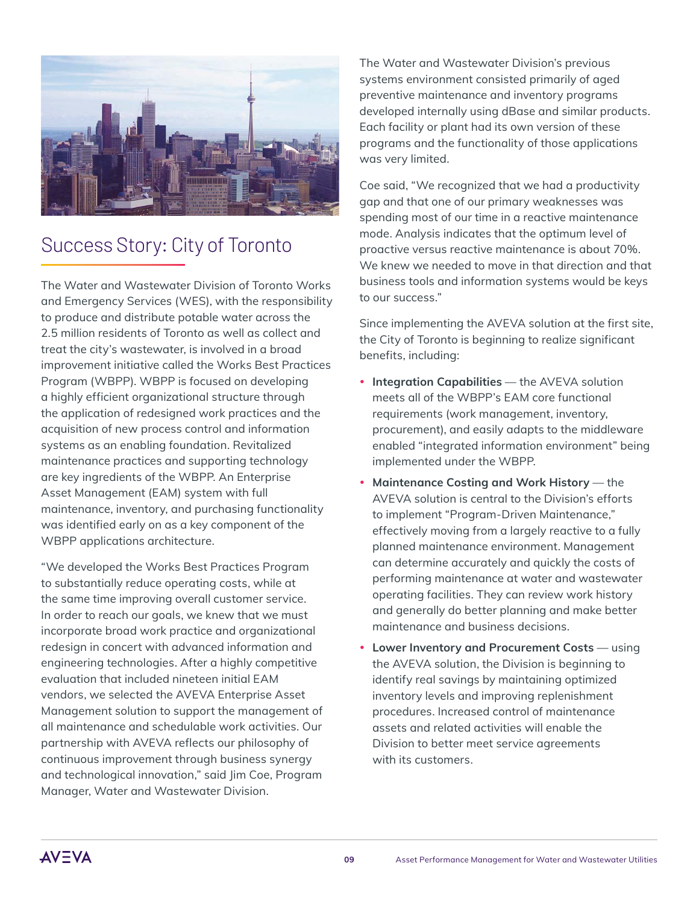

# Success Story: City of Toronto

The Water and Wastewater Division of Toronto Works and Emergency Services (WES), with the responsibility to produce and distribute potable water across the 2.5 million residents of Toronto as well as collect and treat the city's wastewater, is involved in a broad improvement initiative called the Works Best Practices Program (WBPP). WBPP is focused on developing a highly efficient organizational structure through the application of redesigned work practices and the acquisition of new process control and information systems as an enabling foundation. Revitalized maintenance practices and supporting technology are key ingredients of the WBPP. An Enterprise Asset Management (EAM) system with full maintenance, inventory, and purchasing functionality was identified early on as a key component of the WBPP applications architecture.

"We developed the Works Best Practices Program to substantially reduce operating costs, while at the same time improving overall customer service. In order to reach our goals, we knew that we must incorporate broad work practice and organizational redesign in concert with advanced information and engineering technologies. After a highly competitive evaluation that included nineteen initial EAM vendors, we selected the AVEVA Enterprise Asset Management solution to support the management of all maintenance and schedulable work activities. Our partnership with AVEVA reflects our philosophy of continuous improvement through business synergy and technological innovation," said Jim Coe, Program Manager, Water and Wastewater Division.

The Water and Wastewater Division's previous systems environment consisted primarily of aged preventive maintenance and inventory programs developed internally using dBase and similar products. Each facility or plant had its own version of these programs and the functionality of those applications was very limited.

Coe said, "We recognized that we had a productivity gap and that one of our primary weaknesses was spending most of our time in a reactive maintenance mode. Analysis indicates that the optimum level of proactive versus reactive maintenance is about 70%. We knew we needed to move in that direction and that business tools and information systems would be keys to our success."

Since implementing the AVEVA solution at the first site, the City of Toronto is beginning to realize significant benefits, including:

- **Integration Capabilities** the AVEVA solution meets all of the WBPP's EAM core functional requirements (work management, inventory, procurement), and easily adapts to the middleware enabled "integrated information environment" being implemented under the WBPP.
- **Maintenance Costing and Work History** the AVEVA solution is central to the Division's efforts to implement "Program-Driven Maintenance," effectively moving from a largely reactive to a fully planned maintenance environment. Management can determine accurately and quickly the costs of performing maintenance at water and wastewater operating facilities. They can review work history and generally do better planning and make better maintenance and business decisions.
- **Lower Inventory and Procurement Costs** using the AVEVA solution, the Division is beginning to identify real savings by maintaining optimized inventory levels and improving replenishment procedures. Increased control of maintenance assets and related activities will enable the Division to better meet service agreements with its customers.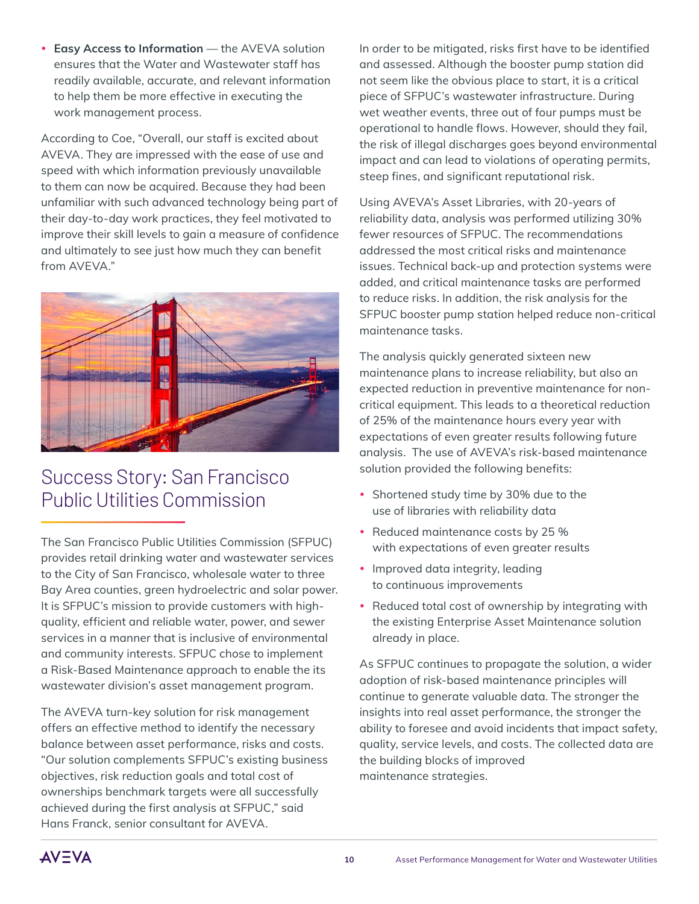**• Easy Access to Information** — the AVEVA solution ensures that the Water and Wastewater staff has readily available, accurate, and relevant information to help them be more effective in executing the work management process.

According to Coe, "Overall, our staff is excited about AVEVA. They are impressed with the ease of use and speed with which information previously unavailable to them can now be acquired. Because they had been unfamiliar with such advanced technology being part of their day-to-day work practices, they feel motivated to improve their skill levels to gain a measure of confidence and ultimately to see just how much they can benefit from AVEVA."



# Success Story: San Francisco Public Utilities Commission

The San Francisco Public Utilities Commission (SFPUC) provides retail drinking water and wastewater services to the City of San Francisco, wholesale water to three Bay Area counties, green hydroelectric and solar power. It is SFPUC's mission to provide customers with highquality, efficient and reliable water, power, and sewer services in a manner that is inclusive of environmental and community interests. SFPUC chose to implement a Risk-Based Maintenance approach to enable the its wastewater division's asset management program.

The AVEVA turn-key solution for risk management offers an effective method to identify the necessary balance between asset performance, risks and costs. "Our solution complements SFPUC's existing business objectives, risk reduction goals and total cost of ownerships benchmark targets were all successfully achieved during the first analysis at SFPUC," said Hans Franck, senior consultant for AVEVA.

In order to be mitigated, risks first have to be identified and assessed. Although the booster pump station did not seem like the obvious place to start, it is a critical piece of SFPUC's wastewater infrastructure. During wet weather events, three out of four pumps must be operational to handle flows. However, should they fail, the risk of illegal discharges goes beyond environmental impact and can lead to violations of operating permits, steep fines, and significant reputational risk.

Using AVEVA's Asset Libraries, with 20-years of reliability data, analysis was performed utilizing 30% fewer resources of SFPUC. The recommendations addressed the most critical risks and maintenance issues. Technical back-up and protection systems were added, and critical maintenance tasks are performed to reduce risks. In addition, the risk analysis for the SFPUC booster pump station helped reduce non-critical maintenance tasks.

The analysis quickly generated sixteen new maintenance plans to increase reliability, but also an expected reduction in preventive maintenance for noncritical equipment. This leads to a theoretical reduction of 25% of the maintenance hours every year with expectations of even greater results following future analysis. The use of AVEVA's risk-based maintenance solution provided the following benefits:

- Shortened study time by 30% due to the use of libraries with reliability data
- Reduced maintenance costs by 25 % with expectations of even greater results
- Improved data integrity, leading to continuous improvements
- Reduced total cost of ownership by integrating with the existing Enterprise Asset Maintenance solution already in place.

As SFPUC continues to propagate the solution, a wider adoption of risk-based maintenance principles will continue to generate valuable data. The stronger the insights into real asset performance, the stronger the ability to foresee and avoid incidents that impact safety, quality, service levels, and costs. The collected data are the building blocks of improved maintenance strategies.